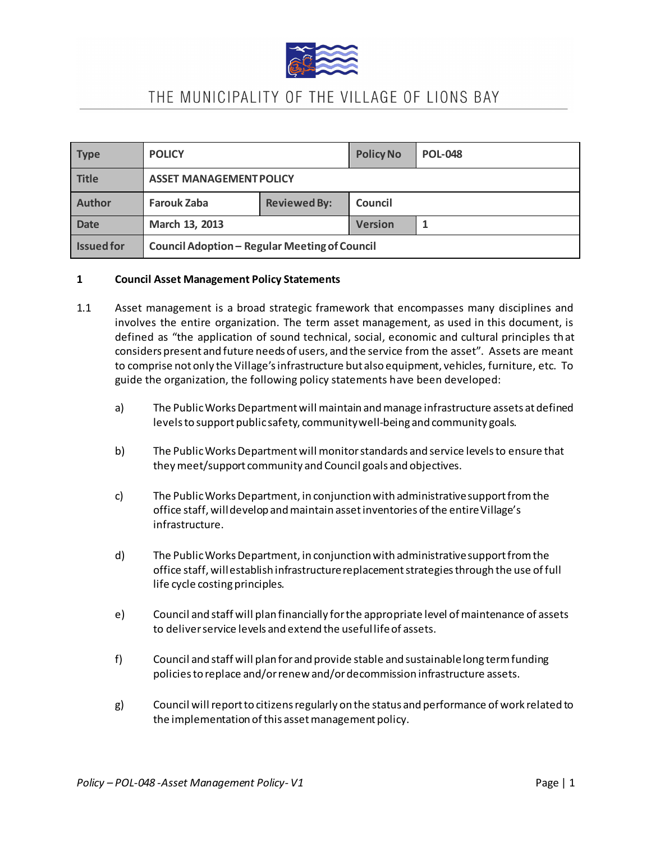

| <b>Type</b>       | <b>POLICY</b>                                 |                     | <b>Policy No</b> | <b>POL-048</b> |
|-------------------|-----------------------------------------------|---------------------|------------------|----------------|
| <b>Title</b>      | <b>ASSET MANAGEMENT POLICY</b>                |                     |                  |                |
| <b>Author</b>     | <b>Farouk Zaba</b>                            | <b>Reviewed By:</b> | Council          |                |
| <b>Date</b>       | March 13, 2013                                |                     | <b>Version</b>   |                |
| <b>Issued for</b> | Council Adoption - Regular Meeting of Council |                     |                  |                |

#### **1 Council Asset Management Policy Statements**

- 1.1 Asset management is a broad strategic framework that encompasses many disciplines and involves the entire organization. The term asset management, as used in this document, is defined as "the application of sound technical, social, economic and cultural principles that considers present and future needs of users, and the service from the asset". Assets are meant to comprise not only the Village's infrastructure but also equipment, vehicles, furniture, etc. To guide the organization, the following policy statements have been developed:
	- a) The Public Works Department will maintain and manage infrastructure assets at defined levels to support public safety, community well-being and community goals.
	- b) The Public Works Department will monitor standards and service levels to ensure that they meet/support community and Council goals and objectives.
	- c) The Public Works Department, in conjunction with administrative support from the office staff, will develop and maintain asset inventories of the entire Village's infrastructure.
	- d) The Public Works Department, in conjunction with administrative support from the office staff, will establish infrastructure replacement strategies through the use of full life cycle costing principles.
	- e) Council and staff will plan financially for the appropriate level of maintenance of assets to deliver service levels and extend the useful life of assets.
	- f) Council and staff will plan for and provide stable and sustainable long term funding policies to replace and/or renew and/or decommission infrastructure assets.
	- g) Council will report to citizens regularly on the status and performance of work related to the implementation of this asset management policy.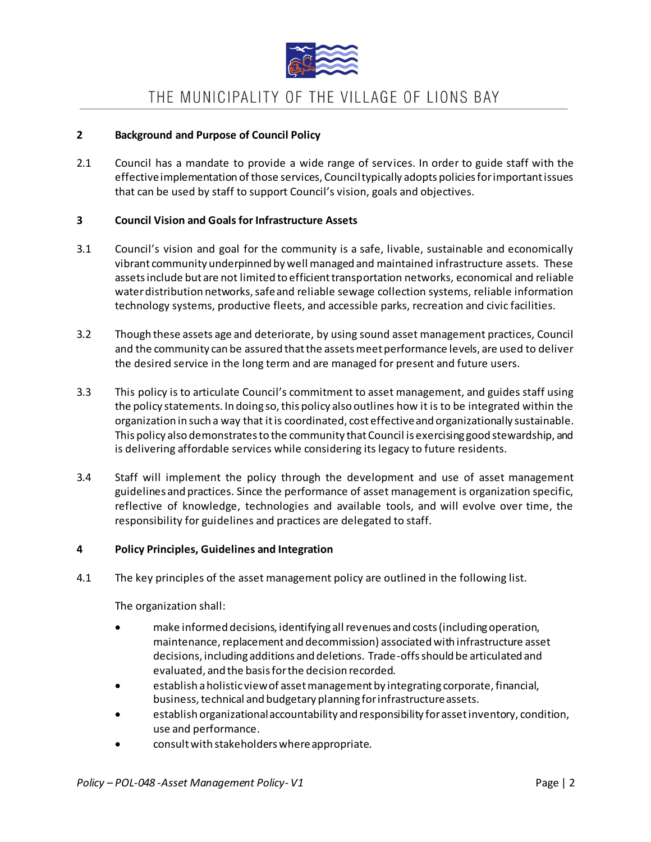

### **2 Background and Purpose of Council Policy**

2.1 Council has a mandate to provide a wide range of services. In order to guide staff with the effective implementation of those services, Council typically adopts policies for important issues that can be used by staff to support Council's vision, goals and objectives.

### **3 Council Vision and Goals for Infrastructure Assets**

- 3.1 Council's vision and goal for the community is a safe, livable, sustainable and economically vibrant community underpinned by well managed and maintained infrastructure assets. These assets include but are not limited to efficient transportation networks, economical and reliable water distribution networks, safe and reliable sewage collection systems, reliable information technology systems, productive fleets, and accessible parks, recreation and civic facilities.
- 3.2 Though these assets age and deteriorate, by using sound asset management practices, Council and the community can be assured that the assets meet performance levels, are used to deliver the desired service in the long term and are managed for present and future users.
- 3.3 This policy is to articulate Council's commitment to asset management, and guides staff using the policy statements. In doing so, this policy also outlines how it is to be integrated within the organization in such a way that it is coordinated, cost effective and organizationally sustainable. This policy also demonstrates to the community that Council is exercising good stewardship, and is delivering affordable services while considering its legacy to future residents.
- 3.4 Staff will implement the policy through the development and use of asset management guidelines and practices. Since the performance of asset management is organization specific, reflective of knowledge, technologies and available tools, and will evolve over time, the responsibility for guidelines and practices are delegated to staff.

### **4 Policy Principles, Guidelines and Integration**

4.1 The key principles of the asset management policy are outlined in the following list.

The organization shall:

- make informed decisions, identifying all revenues and costs (including operation, maintenance, replacement and decommission) associated with infrastructure asset decisions, including additions and deletions. Trade-offs should be articulated and evaluated, and the basis for the decision recorded.
- establish a holistic view of asset management by integrating corporate, financial, business, technical and budgetary planning for infrastructure assets.
- establish organizational accountability and responsibility for asset inventory, condition, use and performance.
- consult with stakeholders where appropriate.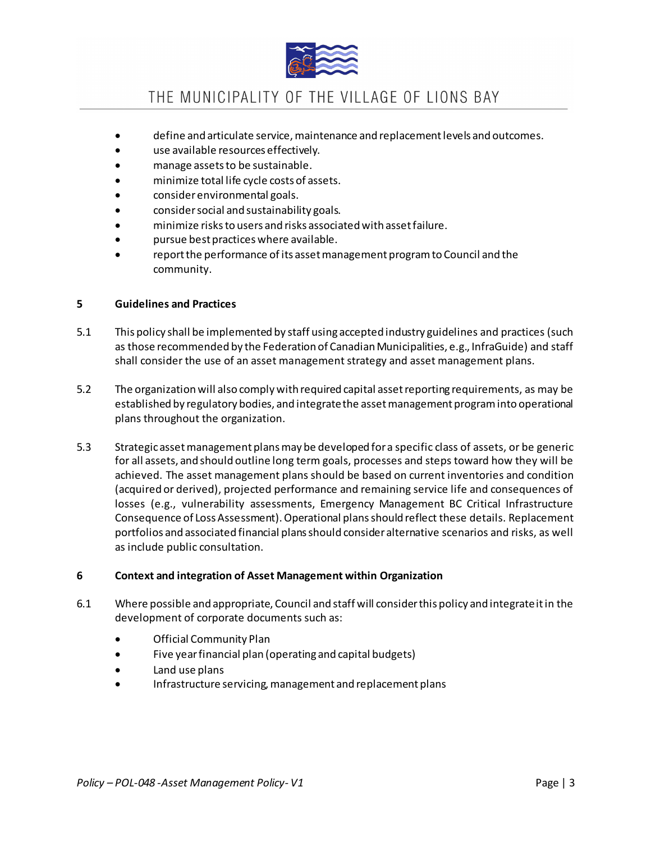

- define and articulate service, maintenance and replacement levels and outcomes.
- use available resources effectively.
- manage assets to be sustainable.
- minimize total life cycle costs of assets.
- consider environmental goals.
- consider social and sustainability goals.
- minimize risks to users and risks associated with asset failure.
- pursue best practices where available.
- report the performance of its asset management program to Council and the community.

#### **5 Guidelines and Practices**

- 5.1 This policy shall be implemented by staff using accepted industry guidelines and practices (such as those recommended by the Federation of Canadian Municipalities, e.g., InfraGuide) and staff shall consider the use of an asset management strategy and asset management plans.
- 5.2 The organization will also comply with required capital asset reporting requirements, as may be established by regulatory bodies, and integrate the asset management program into operational plans throughout the organization.
- 5.3 Strategic asset management plans may be developed for a specific class of assets, or be generic for all assets, and should outline long term goals, processes and steps toward how they will be achieved. The asset management plans should be based on current inventories and condition (acquired or derived), projected performance and remaining service life and consequences of losses (e.g., vulnerability assessments, Emergency Management BC Critical Infrastructure Consequence of Loss Assessment). Operational plans should reflect these details. Replacement portfolios and associated financial plans should consider alternative scenarios and risks, as well as include public consultation.

### **6 Context and integration of Asset Management within Organization**

- 6.1 Where possible and appropriate, Council and staff will consider this policy and integrate it in the development of corporate documents such as:
	- Official Community Plan
	- Five year financial plan (operating and capital budgets)
	- Land use plans
	- Infrastructure servicing, management and replacement plans